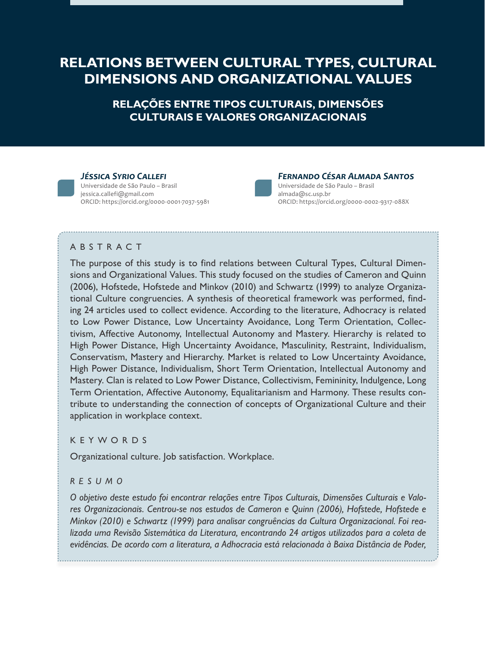# **RELATIONS BETWEEN CULTURAL TYPES, CULTURAL DIMENSIONS AND ORGANIZATIONAL VALUES**

**RELAÇÕES ENTRE TIPOS CULTURAIS, DIMENSÕES CULTURAIS E VALORES ORGANIZACIONAIS**

#### *Jéssica Syrio Callefi*

Universidade de São Paulo – Brasil jessica.callefi@gmail.com ORCID: https://orcid.org/0000-0001-7037-5981



#### *Fernando César Almada Santos* Universidade de São Paulo – Brasil

almada@sc.usp.br ORCID: https://orcid.org/0000-0002-9317-088X

### A B S T R A C T

The purpose of this study is to find relations between Cultural Types, Cultural Dimensions and Organizational Values. This study focused on the studies of Cameron and Quinn (2006), Hofstede, Hofstede and Minkov (2010) and Schwartz (1999) to analyze Organizational Culture congruencies. A synthesis of theoretical framework was performed, finding 24 articles used to collect evidence. According to the literature, Adhocracy is related to Low Power Distance, Low Uncertainty Avoidance, Long Term Orientation, Collectivism, Affective Autonomy, Intellectual Autonomy and Mastery. Hierarchy is related to High Power Distance, High Uncertainty Avoidance, Masculinity, Restraint, Individualism, Conservatism, Mastery and Hierarchy. Market is related to Low Uncertainty Avoidance, High Power Distance, Individualism, Short Term Orientation, Intellectual Autonomy and Mastery. Clan is related to Low Power Distance, Collectivism, Femininity, Indulgence, Long Term Orientation, Affective Autonomy, Equalitarianism and Harmony. These results contribute to understanding the connection of concepts of Organizational Culture and their application in workplace context.

### **KEYWORDS**

Organizational culture. Job satisfaction. Workplace.

### *RESUMO*

*O objetivo deste estudo foi encontrar relações entre Tipos Culturais, Dimensões Culturais e Valores Organizacionais. Centrou-se nos estudos de Cameron e Quinn (2006), Hofstede, Hofstede e Minkov (2010) e Schwartz (1999) para analisar congruências da Cultura Organizacional. Foi realizada uma Revisão Sistemática da Literatura, encontrando 24 artigos utilizados para a coleta de evidências. De acordo com a literatura, a Adhocracia está relacionada à Baixa Distância de Poder,*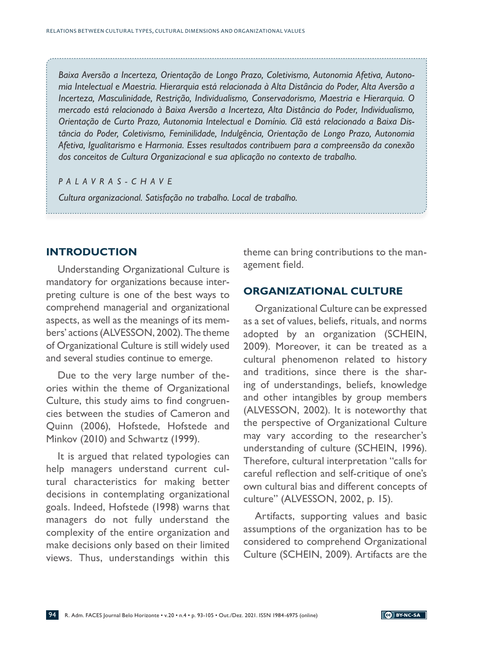*Baixa Aversão a Incerteza, Orientação de Longo Prazo, Coletivismo, Autonomia Afetiva, Autonomia Intelectual e Maestria. Hierarquia está relacionada à Alta Distância do Poder, Alta Aversão a Incerteza, Masculinidade, Restrição, Individualismo, Conservadorismo, Maestria e Hierarquia. O mercado está relacionado à Baixa Aversão a Incerteza, Alta Distância do Poder, Individualismo, Orientação de Curto Prazo, Autonomia Intelectual e Domínio. Clã está relacionado a Baixa Distância do Poder, Coletivismo, Feminilidade, Indulgência, Orientação de Longo Prazo, Autonomia Afetiva, Igualitarismo e Harmonia. Esses resultados contribuem para a compreensão da conexão dos conceitos de Cultura Organizacional e sua aplicação no contexto de trabalho.*

#### *PALAVRAS-CHAVE*

*Cultura organizacional. Satisfação no trabalho. Local de trabalho.*

### **INTRODUCTION**

Understanding Organizational Culture is mandatory for organizations because interpreting culture is one of the best ways to comprehend managerial and organizational aspects, as well as the meanings of its members' actions (ALVESSON, 2002). The theme of Organizational Culture is still widely used and several studies continue to emerge.

Due to the very large number of theories within the theme of Organizational Culture, this study aims to find congruencies between the studies of Cameron and Quinn (2006), Hofstede, Hofstede and Minkov (2010) and Schwartz (1999).

It is argued that related typologies can help managers understand current cultural characteristics for making better decisions in contemplating organizational goals. Indeed, Hofstede (1998) warns that managers do not fully understand the complexity of the entire organization and make decisions only based on their limited views. Thus, understandings within this

theme can bring contributions to the management field.

### **ORGANIZATIONAL CULTURE**

Organizational Culture can be expressed as a set of values, beliefs, rituals, and norms adopted by an organization (SCHEIN, 2009). Moreover, it can be treated as a cultural phenomenon related to history and traditions, since there is the sharing of understandings, beliefs, knowledge and other intangibles by group members (ALVESSON, 2002). It is noteworthy that the perspective of Organizational Culture may vary according to the researcher's understanding of culture (SCHEIN, 1996). Therefore, cultural interpretation "calls for careful reflection and self-critique of one's own cultural bias and different concepts of culture" (ALVESSON, 2002, p. 15).

Artifacts, supporting values and basic assumptions of the organization has to be considered to comprehend Organizational Culture (SCHEIN, 2009). Artifacts are the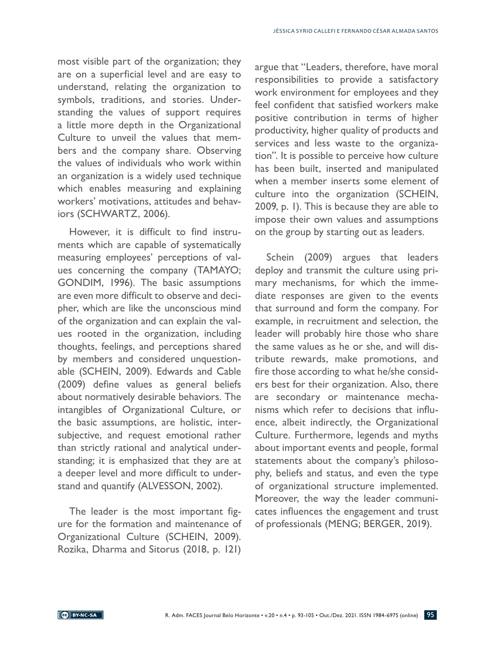most visible part of the organization; they are on a superficial level and are easy to understand, relating the organization to symbols, traditions, and stories. Understanding the values of support requires a little more depth in the Organizational Culture to unveil the values that members and the company share. Observing the values of individuals who work within an organization is a widely used technique which enables measuring and explaining workers' motivations, attitudes and behaviors (SCHWARTZ, 2006).

However, it is difficult to find instruments which are capable of systematically measuring employees' perceptions of values concerning the company (TAMAYO; GONDIM, 1996). The basic assumptions are even more difficult to observe and decipher, which are like the unconscious mind of the organization and can explain the values rooted in the organization, including thoughts, feelings, and perceptions shared by members and considered unquestionable (SCHEIN, 2009). Edwards and Cable (2009) define values as general beliefs about normatively desirable behaviors. The intangibles of Organizational Culture, or the basic assumptions, are holistic, intersubjective, and request emotional rather than strictly rational and analytical understanding; it is emphasized that they are at a deeper level and more difficult to understand and quantify (ALVESSON, 2002).

The leader is the most important figure for the formation and maintenance of Organizational Culture (SCHEIN, 2009). Rozika, Dharma and Sitorus (2018, p. 121)

argue that "Leaders, therefore, have moral responsibilities to provide a satisfactory work environment for employees and they feel confident that satisfied workers make positive contribution in terms of higher productivity, higher quality of products and services and less waste to the organization". It is possible to perceive how culture has been built, inserted and manipulated when a member inserts some element of culture into the organization (SCHEIN, 2009, p. 1). This is because they are able to impose their own values and assumptions on the group by starting out as leaders.

Schein (2009) argues that leaders deploy and transmit the culture using primary mechanisms, for which the immediate responses are given to the events that surround and form the company. For example, in recruitment and selection, the leader will probably hire those who share the same values as he or she, and will distribute rewards, make promotions, and fire those according to what he/she considers best for their organization. Also, there are secondary or maintenance mechanisms which refer to decisions that influence, albeit indirectly, the Organizational Culture. Furthermore, legends and myths about important events and people, formal statements about the company's philosophy, beliefs and status, and even the type of organizational structure implemented. Moreover, the way the leader communicates influences the engagement and trust of professionals (MENG; BERGER, 2019).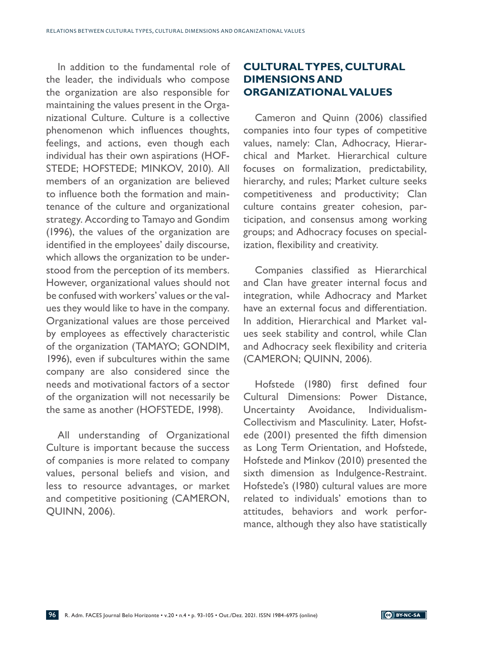In addition to the fundamental role of the leader, the individuals who compose the organization are also responsible for maintaining the values present in the Organizational Culture. Culture is a collective phenomenon which influences thoughts, feelings, and actions, even though each individual has their own aspirations (HOF-STEDE; HOFSTEDE; MINKOV, 2010). All members of an organization are believed to influence both the formation and maintenance of the culture and organizational strategy. According to Tamayo and Gondim (1996), the values of the organization are identified in the employees' daily discourse, which allows the organization to be understood from the perception of its members. However, organizational values should not be confused with workers' values or the values they would like to have in the company. Organizational values are those perceived by employees as effectively characteristic of the organization (TAMAYO; GONDIM, 1996), even if subcultures within the same company are also considered since the needs and motivational factors of a sector of the organization will not necessarily be the same as another (HOFSTEDE, 1998).

All understanding of Organizational Culture is important because the success of companies is more related to company values, personal beliefs and vision, and less to resource advantages, or market and competitive positioning (CAMERON, QUINN, 2006).

## **CULTURAL TYPES, CULTURAL DIMENSIONS AND ORGANIZATIONAL VALUES**

Cameron and Quinn (2006) classified companies into four types of competitive values, namely: Clan, Adhocracy, Hierarchical and Market. Hierarchical culture focuses on formalization, predictability, hierarchy, and rules; Market culture seeks competitiveness and productivity; Clan culture contains greater cohesion, participation, and consensus among working groups; and Adhocracy focuses on specialization, flexibility and creativity.

Companies classified as Hierarchical and Clan have greater internal focus and integration, while Adhocracy and Market have an external focus and differentiation. In addition, Hierarchical and Market values seek stability and control, while Clan and Adhocracy seek flexibility and criteria (CAMERON; QUINN, 2006).

Hofstede (1980) first defined four Cultural Dimensions: Power Distance, Uncertainty Avoidance, Individualism-Collectivism and Masculinity. Later, Hofstede (2001) presented the fifth dimension as Long Term Orientation, and Hofstede, Hofstede and Minkov (2010) presented the sixth dimension as Indulgence-Restraint. Hofstede's (1980) cultural values are more related to individuals' emotions than to attitudes, behaviors and work performance, although they also have statistically

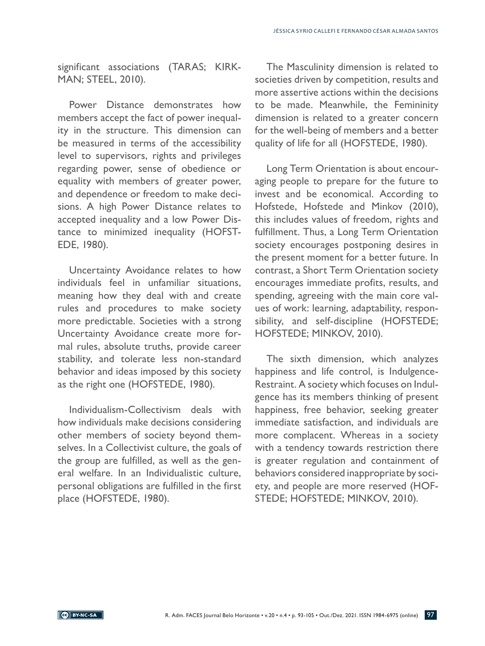significant associations (TARAS; KIRK-MAN; STEEL, 2010).

Power Distance demonstrates how members accept the fact of power inequality in the structure. This dimension can be measured in terms of the accessibility level to supervisors, rights and privileges regarding power, sense of obedience or equality with members of greater power, and dependence or freedom to make decisions. A high Power Distance relates to accepted inequality and a low Power Distance to minimized inequality (HOFST-EDE, 1980).

Uncertainty Avoidance relates to how individuals feel in unfamiliar situations, meaning how they deal with and create rules and procedures to make society more predictable. Societies with a strong Uncertainty Avoidance create more formal rules, absolute truths, provide career stability, and tolerate less non-standard behavior and ideas imposed by this society as the right one (HOFSTEDE, 1980).

Individualism-Collectivism deals with how individuals make decisions considering other members of society beyond themselves. In a Collectivist culture, the goals of the group are fulfilled, as well as the general welfare. In an Individualistic culture, personal obligations are fulfilled in the first place (HOFSTEDE, 1980).

The Masculinity dimension is related to societies driven by competition, results and more assertive actions within the decisions to be made. Meanwhile, the Femininity dimension is related to a greater concern for the well-being of members and a better quality of life for all (HOFSTEDE, 1980).

Long Term Orientation is about encouraging people to prepare for the future to invest and be economical. According to Hofstede, Hofstede and Minkov (2010), this includes values of freedom, rights and fulfillment. Thus, a Long Term Orientation society encourages postponing desires in the present moment for a better future. In contrast, a Short Term Orientation society encourages immediate profits, results, and spending, agreeing with the main core values of work: learning, adaptability, responsibility, and self-discipline (HOFSTEDE; HOFSTEDE; MINKOV, 2010).

The sixth dimension, which analyzes happiness and life control, is Indulgence-Restraint. A society which focuses on Indulgence has its members thinking of present happiness, free behavior, seeking greater immediate satisfaction, and individuals are more complacent. Whereas in a society with a tendency towards restriction there is greater regulation and containment of behaviors considered inappropriate by society, and people are more reserved (HOF-STEDE; HOFSTEDE; MINKOV, 2010).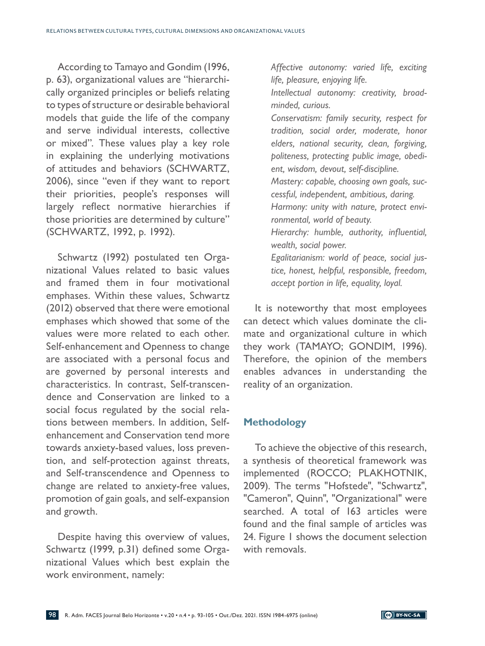According to Tamayo and Gondim (1996, p. 63), organizational values are "hierarchically organized principles or beliefs relating to types of structure or desirable behavioral models that guide the life of the company and serve individual interests, collective or mixed". These values play a key role in explaining the underlying motivations of attitudes and behaviors (SCHWARTZ, 2006), since "even if they want to report their priorities, people's responses will largely reflect normative hierarchies if those priorities are determined by culture" (SCHWARTZ, 1992, p. 1992).

Schwartz (1992) postulated ten Organizational Values related to basic values and framed them in four motivational emphases. Within these values, Schwartz (2012) observed that there were emotional emphases which showed that some of the values were more related to each other. Self-enhancement and Openness to change are associated with a personal focus and are governed by personal interests and characteristics. In contrast, Self-transcendence and Conservation are linked to a social focus regulated by the social relations between members. In addition, Selfenhancement and Conservation tend more towards anxiety-based values, loss prevention, and self-protection against threats, and Self-transcendence and Openness to change are related to anxiety-free values, promotion of gain goals, and self-expansion and growth.

Despite having this overview of values, Schwartz (1999, p.31) defined some Organizational Values which best explain the work environment, namely:

*Affective autonomy: varied life, exciting life, pleasure, enjoying life.*

*Intellectual autonomy: creativity, broadminded, curious.*

*Conservatism: family security, respect for tradition, social order, moderate, honor elders, national security, clean, forgiving, politeness, protecting public image, obedient, wisdom, devout, self-discipline. Mastery: capable, choosing own goals, successful, independent, ambitious, daring. Harmony: unity with nature, protect environmental, world of beauty. Hierarchy: humble, authority, influential, wealth, social power. Egalitarianism: world of peace, social jus-*

*tice, honest, helpful, responsible, freedom, accept portion in life, equality, loyal.*

It is noteworthy that most employees can detect which values dominate the climate and organizational culture in which they work (TAMAYO; GONDIM, 1996). Therefore, the opinion of the members enables advances in understanding the reality of an organization.

### **Methodology**

To achieve the objective of this research, a synthesis of theoretical framework was implemented (ROCCO; PLAKHOTNIK, 2009). The terms "Hofstede", "Schwartz", "Cameron", Quinn", "Organizational" were searched. A total of 163 articles were found and the final sample of articles was 24. Figure 1 shows the document selection with removals.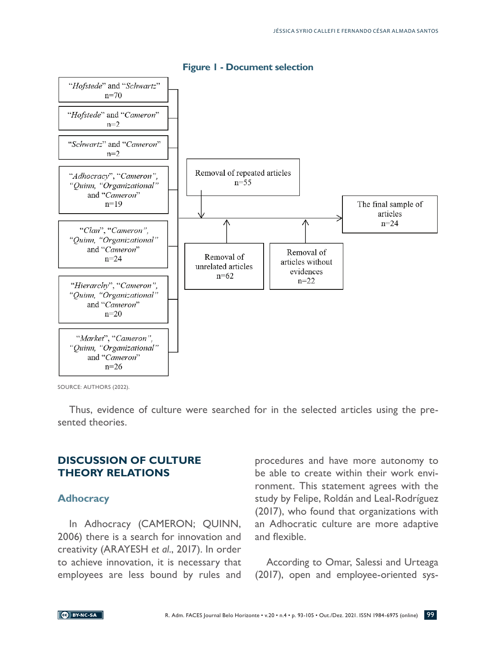

#### **Figure 1 - Document selection**

SOURCE: AUTHORS (2022).

Thus, evidence of culture were searched for in the selected articles using the presented theories.

### **DISCUSSION OF CULTURE THEORY RELATIONS**

#### **Adhocracy**

In Adhocracy (CAMERON; QUINN, 2006) there is a search for innovation and creativity (ARAYESH *et al*., 2017). In order to achieve innovation, it is necessary that employees are less bound by rules and procedures and have more autonomy to be able to create within their work environment. This statement agrees with the study by Felipe, Roldán and Leal-Rodríguez (2017), who found that organizations with an Adhocratic culture are more adaptive and flexible.

According to Omar, Salessi and Urteaga (2017), open and employee-oriented sys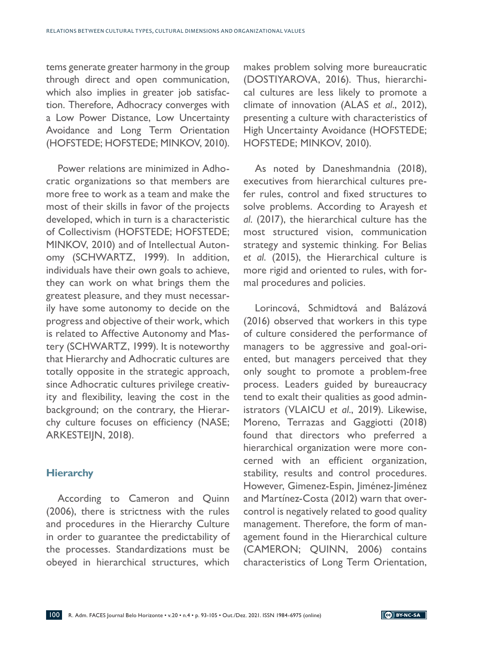tems generate greater harmony in the group through direct and open communication, which also implies in greater job satisfaction. Therefore, Adhocracy converges with a Low Power Distance, Low Uncertainty Avoidance and Long Term Orientation (HOFSTEDE; HOFSTEDE; MINKOV, 2010).

Power relations are minimized in Adhocratic organizations so that members are more free to work as a team and make the most of their skills in favor of the projects developed, which in turn is a characteristic of Collectivism (HOFSTEDE; HOFSTEDE; MINKOV, 2010) and of Intellectual Autonomy (SCHWARTZ, 1999). In addition, individuals have their own goals to achieve, they can work on what brings them the greatest pleasure, and they must necessarily have some autonomy to decide on the progress and objective of their work, which is related to Affective Autonomy and Mastery (SCHWARTZ, 1999). It is noteworthy that Hierarchy and Adhocratic cultures are totally opposite in the strategic approach, since Adhocratic cultures privilege creativity and flexibility, leaving the cost in the background; on the contrary, the Hierarchy culture focuses on efficiency (NASE; ARKESTEIJN, 2018).

### **Hierarchy**

According to Cameron and Quinn (2006), there is strictness with the rules and procedures in the Hierarchy Culture in order to guarantee the predictability of the processes. Standardizations must be obeyed in hierarchical structures, which makes problem solving more bureaucratic (DOSTIYAROVA, 2016). Thus, hierarchical cultures are less likely to promote a climate of innovation (ALAS *et al*., 2012), presenting a culture with characteristics of High Uncertainty Avoidance (HOFSTEDE; HOFSTEDE; MINKOV, 2010).

As noted by Daneshmandnia (2018), executives from hierarchical cultures prefer rules, control and fixed structures to solve problems. According to Arayesh *et al*. (2017), the hierarchical culture has the most structured vision, communication strategy and systemic thinking. For Belias *et al*. (2015), the Hierarchical culture is more rigid and oriented to rules, with formal procedures and policies.

Lorincová, Schmidtová and Balázová (2016) observed that workers in this type of culture considered the performance of managers to be aggressive and goal-oriented, but managers perceived that they only sought to promote a problem-free process. Leaders guided by bureaucracy tend to exalt their qualities as good administrators (VLAICU *et al*., 2019). Likewise, Moreno, Terrazas and Gaggiotti (2018) found that directors who preferred a hierarchical organization were more concerned with an efficient organization, stability, results and control procedures. However, Gimenez-Espin, Jiménez-Jiménez and Martínez-Costa (2012) warn that overcontrol is negatively related to good quality management. Therefore, the form of management found in the Hierarchical culture (CAMERON; QUINN, 2006) contains characteristics of Long Term Orientation,

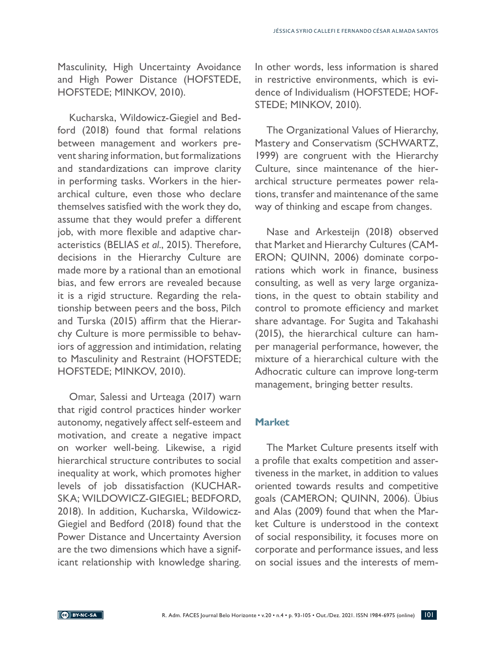Masculinity, High Uncertainty Avoidance and High Power Distance (HOFSTEDE, HOFSTEDE; MINKOV, 2010).

Kucharska, Wildowicz-Giegiel and Bedford (2018) found that formal relations between management and workers prevent sharing information, but formalizations and standardizations can improve clarity in performing tasks. Workers in the hierarchical culture, even those who declare themselves satisfied with the work they do, assume that they would prefer a different job, with more flexible and adaptive characteristics (BELIAS *et al*., 2015). Therefore, decisions in the Hierarchy Culture are made more by a rational than an emotional bias, and few errors are revealed because it is a rigid structure. Regarding the relationship between peers and the boss, Pilch and Turska (2015) affirm that the Hierarchy Culture is more permissible to behaviors of aggression and intimidation, relating to Masculinity and Restraint (HOFSTEDE; HOFSTEDE; MINKOV, 2010).

Omar, Salessi and Urteaga (2017) warn that rigid control practices hinder worker autonomy, negatively affect self-esteem and motivation, and create a negative impact on worker well-being. Likewise, a rigid hierarchical structure contributes to social inequality at work, which promotes higher levels of job dissatisfaction (KUCHAR-SKA; WILDOWICZ-GIEGIEL; BEDFORD, 2018). In addition, Kucharska, Wildowicz-Giegiel and Bedford (2018) found that the Power Distance and Uncertainty Aversion are the two dimensions which have a significant relationship with knowledge sharing.

In other words, less information is shared in restrictive environments, which is evidence of Individualism (HOFSTEDE; HOF-STEDE; MINKOV, 2010).

The Organizational Values of Hierarchy, Mastery and Conservatism (SCHWARTZ, 1999) are congruent with the Hierarchy Culture, since maintenance of the hierarchical structure permeates power relations, transfer and maintenance of the same way of thinking and escape from changes.

Nase and Arkesteijn (2018) observed that Market and Hierarchy Cultures (CAM-ERON; QUINN, 2006) dominate corporations which work in finance, business consulting, as well as very large organizations, in the quest to obtain stability and control to promote efficiency and market share advantage. For Sugita and Takahashi (2015), the hierarchical culture can hamper managerial performance, however, the mixture of a hierarchical culture with the Adhocratic culture can improve long-term management, bringing better results.

### **Market**

The Market Culture presents itself with a profile that exalts competition and assertiveness in the market, in addition to values oriented towards results and competitive goals (CAMERON; QUINN, 2006). Übius and Alas (2009) found that when the Market Culture is understood in the context of social responsibility, it focuses more on corporate and performance issues, and less on social issues and the interests of mem-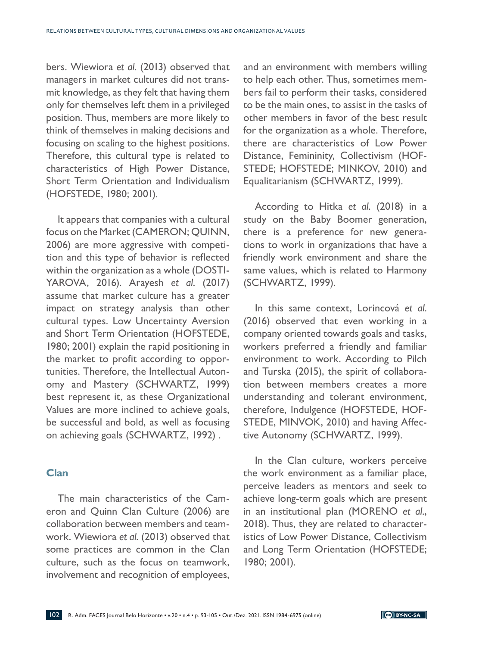bers. Wiewiora *et al*. (2013) observed that managers in market cultures did not transmit knowledge, as they felt that having them only for themselves left them in a privileged position. Thus, members are more likely to think of themselves in making decisions and focusing on scaling to the highest positions. Therefore, this cultural type is related to characteristics of High Power Distance, Short Term Orientation and Individualism (HOFSTEDE, 1980; 2001).

It appears that companies with a cultural focus on the Market (CAMERON; QUINN, 2006) are more aggressive with competition and this type of behavior is reflected within the organization as a whole (DOSTI-YAROVA, 2016). Arayesh *et al*. (2017) assume that market culture has a greater impact on strategy analysis than other cultural types. Low Uncertainty Aversion and Short Term Orientation (HOFSTEDE, 1980; 2001) explain the rapid positioning in the market to profit according to opportunities. Therefore, the Intellectual Autonomy and Mastery (SCHWARTZ, 1999) best represent it, as these Organizational Values are more inclined to achieve goals, be successful and bold, as well as focusing on achieving goals (SCHWARTZ, 1992) .

### **Clan**

The main characteristics of the Cameron and Quinn Clan Culture (2006) are collaboration between members and teamwork. Wiewiora *et al*. (2013) observed that some practices are common in the Clan culture, such as the focus on teamwork, involvement and recognition of employees,

and an environment with members willing to help each other. Thus, sometimes members fail to perform their tasks, considered to be the main ones, to assist in the tasks of other members in favor of the best result for the organization as a whole. Therefore, there are characteristics of Low Power Distance, Femininity, Collectivism (HOF-STEDE; HOFSTEDE; MINKOV, 2010) and Equalitarianism (SCHWARTZ, 1999).

According to Hitka *et al*. (2018) in a study on the Baby Boomer generation, there is a preference for new generations to work in organizations that have a friendly work environment and share the same values, which is related to Harmony (SCHWARTZ, 1999).

In this same context, Lorincová *et al*. (2016) observed that even working in a company oriented towards goals and tasks, workers preferred a friendly and familiar environment to work. According to Pilch and Turska (2015), the spirit of collaboration between members creates a more understanding and tolerant environment, therefore, Indulgence (HOFSTEDE, HOF-STEDE, MINVOK, 2010) and having Affective Autonomy (SCHWARTZ, 1999).

In the Clan culture, workers perceive the work environment as a familiar place, perceive leaders as mentors and seek to achieve long-term goals which are present in an institutional plan (MORENO *et al*., 2018). Thus, they are related to characteristics of Low Power Distance, Collectivism and Long Term Orientation (HOFSTEDE; 1980; 2001).

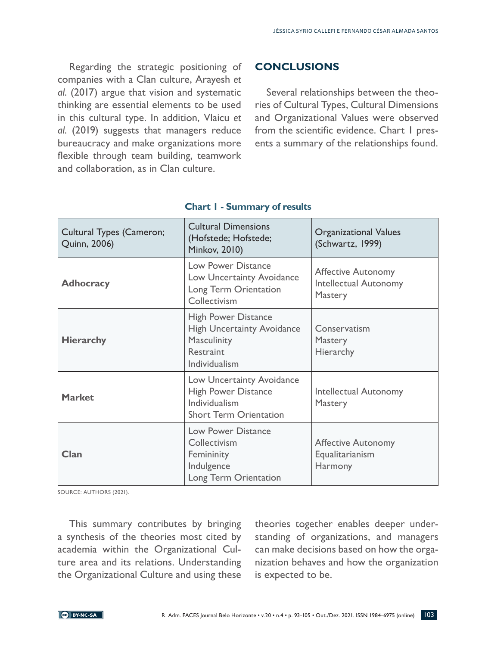Regarding the strategic positioning of companies with a Clan culture, Arayesh *et al*. (2017) argue that vision and systematic thinking are essential elements to be used in this cultural type. In addition, Vlaicu *et al*. (2019) suggests that managers reduce bureaucracy and make organizations more flexible through team building, teamwork and collaboration, as in Clan culture.

### **CONCLUSIONS**

Several relationships between the theories of Cultural Types, Cultural Dimensions and Organizational Values were observed from the scientific evidence. Chart I presents a summary of the relationships found.

| <b>Cultural Types (Cameron;</b><br>Quinn, 2006) | <b>Cultural Dimensions</b><br>(Hofstede; Hofstede;<br><b>Minkov, 2010)</b>                                   | <b>Organizational Values</b><br>(Schwartz, 1999)                     |
|-------------------------------------------------|--------------------------------------------------------------------------------------------------------------|----------------------------------------------------------------------|
| <b>Adhocracy</b>                                | <b>Low Power Distance</b><br>Low Uncertainty Avoidance<br>Long Term Orientation<br>Collectivism              | <b>Affective Autonomy</b><br><b>Intellectual Autonomy</b><br>Mastery |
| <b>Hierarchy</b>                                | <b>High Power Distance</b><br><b>High Uncertainty Avoidance</b><br>Masculinity<br>Restraint<br>Individualism | Conservatism<br>Mastery<br>Hierarchy                                 |
| <b>Market</b>                                   | Low Uncertainty Avoidance<br><b>High Power Distance</b><br>Individualism<br><b>Short Term Orientation</b>    | <b>Intellectual Autonomy</b><br>Mastery                              |
| Clan                                            | <b>Low Power Distance</b><br>Collectivism<br>Femininity<br>Indulgence<br>Long Term Orientation               | <b>Affective Autonomy</b><br>Equalitarianism<br>Harmony              |

### **Chart 1 - Summary of results**

SOURCE: AUTHORS (2021).

This summary contributes by bringing a synthesis of the theories most cited by academia within the Organizational Culture area and its relations. Understanding the Organizational Culture and using these

theories together enables deeper understanding of organizations, and managers can make decisions based on how the organization behaves and how the organization is expected to be.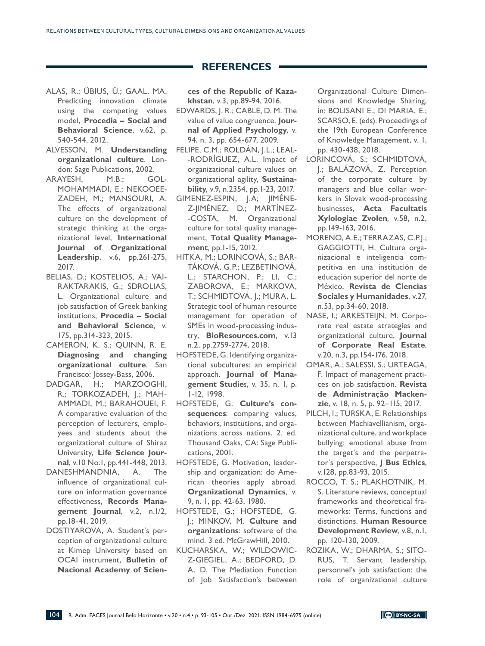#### **REFERENCES**

- ALAS, R.; ÜBIUS, Ü.; GAAL, MA. Predicting innovation climate using the competing values model, **Procedia – Social and Behavioral Science**, v.62, p. 540-544, 2012.
- ALVESSON, M. **Understanding organizational culture**. London: Sage Publications, 2002.
- ARAYESH, M.B.; GOL-MOHAMMADI, E.; NEKOOEE-ZADEH, M.; MANSOURI, A. The effects of organizational culture on the development of strategic thinking at the organizational level, **International Journal of Organizational Leadership**, v.6, pp.261-275, 2017.
- BELIAS, D.; KOSTELIOS, A.; VAI-RAKTARAKIS, G.; SDROLIAS, L. Organizational culture and job satisfaction of Greek banking institutions, **Procedia – Social and Behavioral Science**, v. 175, pp.314-323, 2015.
- CAMERON, K. S.; QUINN, R. E. **Diagnosing and changing organizational culture**. San Francisco: Jossey-Bass, 2006.
- DADGAR, H.; MARZOOGHI, R.; TORKOZADEH, J.; MAH-AMMADI, M.; BARAHOUEI, F. A comparative evaluation of the perception of lecturers, employees and students about the organizational culture of Shiraz University, **Life Science Journal**, v.10 No.1, pp.441-448, 2013.
- DANESHMANDNIA, A. The influence of organizational culture on information governance effectiveness, **Records Management Journal**, v.2, n.1/2, pp.18-41, 2019.
- DOSTIYAROVA, A. Student´s perception of organizational culture at Kimep University based on OCAI instrument, **Bulletin of Nacional Academy of Scien-**

**ces of the Republic of Kazakhstan**, v.3, pp.89-94, 2016.

- EDWARDS, J. R.; CABLE, D. M. The value of value congruence. **Journal of Applied Psychology**, v. 94, n. 3, pp. 654-677, 2009.
- FELIPE, C.M.; ROLDÁN, J.L.; LEAL- -RODRÍGUEZ, A.L. Impact of organizational culture values on organizational agility, **Sustainability***,* v.9, n.2354, pp.1-23, 2017.
- GIMENEZ-ESPIN, J.A; JIMÉNE-Z-JIMÉNEZ, D.; MARTÍNEZ- -COSTA, M. Organizational culture for total quality management, **Total Quality Management***,* pp.1-15, 2012.
- HITKA, M.; LORINCOVÁ, S.; BAR-TÁKOVÁ, G.P.; LEZBETINOVÁ, L.; STARCHON, P.; LI, C.; ZABOROVA, E.; MARKOVA, T.; SCHMIDTOVÁ, J.; MURA, L. Strategic tool of human resource management for operation of SMEs in wood-processing industry, **BioResources.com***,* v.13 n.2, pp.2759-2774, 2018.
- HOFSTEDE, G. Identifying organizational subcultures: an empirical approach. **Journal of Management Studie***s*, v. 35, n. 1, p. 1-12, 1998.
- HOFSTEDE, G. **Culture's consequences**: comparing values, behaviors, institutions, and organizations across nations. 2. ed. Thousand Oaks, CA: Sage Publications, 2001.
- HOFSTEDE, G. Motivation, leadership and organization: do American theories apply abroad. **Organizational Dynamics**, v. 9, n. 1, pp. 42-63, 1980.
- HOFSTEDE, G.; HOFSTEDE, G. J.; MINKOV, M. **Culture and organizations**: software of the mind. 3 ed. McGrawHill, 2010.
- KUCHARSKA, W.; WILDOWIC-Z-GIEGIEL, A.; BEDFORD, D. A. D. The Mediation Function of Job Satisfaction's between

Organizational Culture Dimensions and Knowledge Sharing, in: BOLISANI E.; DI MARIA, E.; SCARSO, E. (eds). Proceedings of the 19th European Conference of Knowledge Management, v. 1, pp. 430-438, 2018.

- LORINCOVÁ, S.; SCHMIDTOVÁ, J.; BALÁZOVÁ, Z. Perception of the corporate culture by managers and blue collar workers in Slovak wood-processing businesses, **Acta Facultatis Xylologiae Zvolen***,* v.58, n.2, pp.149-163, 2016.
- MORENO, A.E.; TERRAZAS, C.P.J.; GAGGIOTTI, H. Cultura organizacional e inteligencia competitiva en una institución de educación superior del norte de México, **Revista de Ciencias Sociales y Humanidades**, v.27, n.53, pp.34-60, 2018.
- NASE, I.; ARKESTEIJN, M. Corporate real estate strategies and organizational culture, **Journal of Corporate Real Estate**, v.20, n.3, pp.154-176, 2018.
- OMAR, A.; SALESSI, S.; URTEAGA, F. Impact of management practices on job satisfaction. **Revista de Administração Mackenzie**, v. 18, n. 5, p. 92–115, 2017.
- PILCH, I.; TURSKA, E. Relationships between Machiavellianism, organizational culture, and workplace bullying: emotional abuse from the target´s and the perpetrator´s perspective, **J Bus Ethics**, v.128, pp.83-93, 2015.
- ROCCO, T. S.; PLAKHOTNIK, M. S. Literature reviews, conceptual frameworks and theoretical frameworks: Terms, functions and distinctions. **Human Resource Development Review**, v.8, n.1, pp. 120-130, 2009.
- ROZIKA, W.; DHARMA, S.; SITO-RUS, T. Servant leadership, personnel's job satisfaction: the role of organizational culture